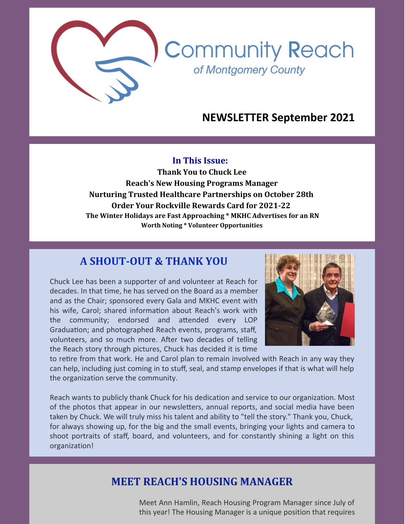

**Community Reach** 

of Montgomery County

#### **In This Issue:**

**Thank You to Chuck Lee Reach's New Housing Programs Manager Nurturing Trusted Healthcare Partnerships on October 28th Order Your Rockville Rewards Card for 2021-22 The Winter Holidays are Fast Approaching \* MKHC Advertises for an RN Worth Noting \* Volunteer Opportunities**

### **A SHOUT-OUT & THANK YOU**

Chuck Lee has been a supporter of and volunteer at Reach for decades. In that time, he has served on the Board as a member and as the Chair; sponsored every Gala and MKHC event with his wife, Carol; shared information about Reach's work with the community; endorsed and attended every LOP Graduation; and photographed Reach events, programs, staff, volunteers, and so much more. After two decades of telling the Reach story through pictures, Chuck has decided it is time



to retire from that work. He and Carol plan to remain involved with Reach in any way they can help, including just coming in to stuff, seal, and stamp envelopes if that is what will help the organization serve the community.

Reach wants to publicly thank Chuck for his dedication and service to our organization. Most of the photos that appear in our newsletters, annual reports, and social media have been taken by Chuck. We will truly miss his talent and ability to "tell the story." Thank you, Chuck, for always showing up, for the big and the small events, bringing your lights and camera to shoot portraits of staff, board, and volunteers, and for constantly shining a light on this organization!

## **MEET REACH'S HOUSING MANAGER**

Meet Ann Hamlin, Reach Housing Program Manager since July of this year! The Housing Manager is a unique position that requires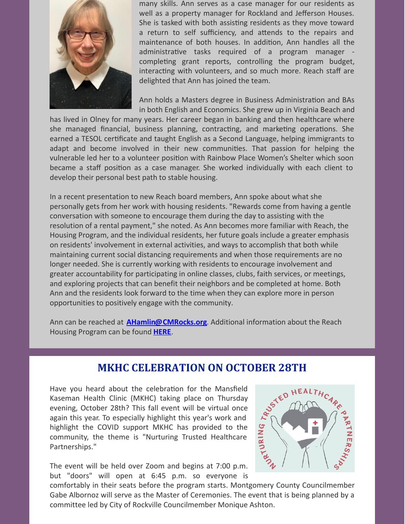

many skills. Ann serves as a case manager for our residents as well as a property manager for Rockland and Jefferson Houses. She is tasked with both assisting residents as they move toward a return to self sufficiency, and attends to the repairs and maintenance of both houses. In addition, Ann handles all the administrative tasks required of a program manager completing grant reports, controlling the program budget, interacting with volunteers, and so much more. Reach staff are delighted that Ann has joined the team.

Ann holds a Masters degree in Business Administration and BAs in both English and Economics. She grew up in Virginia Beach and

has lived in Olney for many years. Her career began in banking and then healthcare where she managed financial, business planning, contracting, and marketing operations. She earned a TESOL certificate and taught English as a Second Language, helping immigrants to adapt and become involved in their new communities. That passion for helping the vulnerable led her to a volunteer position with Rainbow Place Women's Shelter which soon became a staff position as a case manager. She worked individually with each client to develop their personal best path to stable housing.

In a recent presentation to new Reach board members, Ann spoke about what she personally gets from her work with housing residents. "Rewards come from having a gentle conversation with someone to encourage them during the day to assisting with the resolution of a rental payment," she noted. As Ann becomes more familiar with Reach, the Housing Program, and the individual residents, her future goals include a greater emphasis on residents' involvement in external activities, and ways to accomplish that both while maintaining current social distancing requirements and when those requirements are no longer needed. She is currently working with residents to encourage involvement and greater accountability for participating in online classes, clubs, faith services, or meetings, and exploring projects that can benefit their neighbors and be completed at home. Both Ann and the residents look forward to the time when they can explore more in person opportunities to positively engage with the community.

Ann can be reached at **[AHamlin@CMRocks.org](mailto:ahamlin@cmrocks.org)**. Additional information about the Reach Housing Program can be found **[HERE](https://www.cmrocks.org/housing-program)**.

## **MKHC CELEBRATION ON OCTOBER 28TH**

Have you heard about the celebration for the Mansfield Kaseman Health Clinic (MKHC) taking place on Thursday evening, October 28th? This fall event will be virtual once again this year. To especially highlight this year's work and highlight the COVID support MKHC has provided to the community, the theme is "Nurturing Trusted Healthcare Partnerships."

The event will be held over Zoom and begins at 7:00 p.m. but "doors" will open at 6:45 p.m. so everyone is



comfortably in their seats before the program starts. Montgomery County Councilmember Gabe Albornoz will serve as the Master of Ceremonies. The event that is being planned by a committee led by City of Rockville Councilmember Monique Ashton.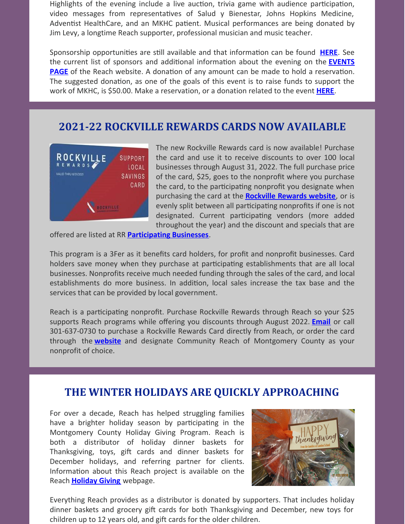Highlights of the evening include a live auction, trivia game with audience participation, video messages from representatives of Salud y Bienestar, Johns Hopkins Medicine, Adventist HealthCare, and an MKHC patient. Musical performances are being donated by Jim Levy, a longtime Reach supporter, professional musician and music teacher.

Sponsorship opportunities are still available and that information can be found **[HERE](https://1a20f3ba-cde9-4347-aa09-90b8813c285c.filesusr.com/ugd/4c9ddf_8bd8d6d1d1b2420a8ec91559a4fa187c.pdf)**. See the current list of sponsors and additional information about the evening on the **EVENTS PAGE** of the Reach website. A donation of any amount can be made to hold a reservation. The suggested donation, as one of the goals of this event is to raise funds to support the work of MKHC, is \$50.00. Make a reservation, or a donation related to the event **[HERE](https://www.eventbrite.com/e/nurturing-trusted-healthcare-partnerships-mansfield-kaseman-health-clinic-registration-168646378859)**.

## **2021-22 ROCKVILLE REWARDS CARDS NOW AVAILABLE**



The new Rockville Rewards card is now available! Purchase the card and use it to receive discounts to over 100 local businesses through August 31, 2022. The full purchase price of the card, \$25, goes to the nonprofit where you purchase the card, to the participating nonprofit you designate when purchasing the card at the **[Rockville](https://rockvillerewards.com/) Rewards website**, or is evenly split between all participating nonprofits if one is not designated. Current participating vendors (more added throughout the year) and the discount and specials that are

offered are listed at RR **[Participating](https://rockvillerewards.com/pages/businesses) Businesses**.

This program is a 3Fer as it benefits card holders, for profit and nonprofit businesses. Card holders save money when they purchase at participating establishments that are all local businesses. Nonprofits receive much needed funding through the sales of the card, and local establishments do more business. In addition, local sales increase the tax base and the services that can be provided by local government.

Reach is a participating nonprofit. Purchase Rockville Rewards through Reach so your \$25 supports Reach programs while offering you discounts through August 2022. **[Email](mailto:info@cmrocks.org)** or call 301-637-0730 to purchase a Rockville Rewards Card directly from Reach, or order the card through the **[website](https://rockvillerewards.com/)** and designate Community Reach of Montgomery County as your nonprofit of choice.

## **THE WINTER HOLIDAYS ARE QUICKLY APPROACHING**

For over a decade, Reach has helped struggling families have a brighter holiday season by participating in the Montgomery County Holiday Giving Program. Reach is both a distributor of holiday dinner baskets for Thanksgiving, toys, gift cards and dinner baskets for December holidays, and referring partner for clients. Information about this Reach project is available on the Reach **[Holiday](https://www.cmrocks.org/holiday-giving) Giving** webpage.



Everything Reach provides as a distributor is donated by supporters. That includes holiday dinner baskets and grocery gift cards for both Thanksgiving and December, new toys for children up to 12 years old, and gift cards for the older children.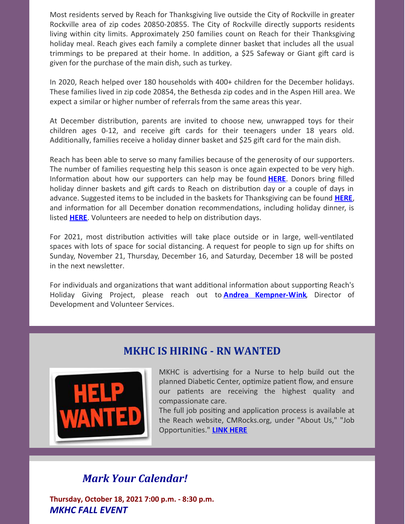Most residents served by Reach for Thanksgiving live outside the City of Rockville in greater Rockville area of zip codes 20850-20855. The City of Rockville directly supports residents living within city limits. Approximately 250 families count on Reach for their Thanksgiving holiday meal. Reach gives each family a complete dinner basket that includes all the usual trimmings to be prepared at their home. In addition, a \$25 Safeway or Giant gift card is given for the purchase of the main dish, such as turkey.

In 2020, Reach helped over 180 households with 400+ children for the December holidays. These families lived in zip code 20854, the Bethesda zip codes and in the Aspen Hill area. We expect a similar or higher number of referrals from the same areas this year.

At December distribution, parents are invited to choose new, unwrapped toys for their children ages 0-12, and receive gift cards for their teenagers under 18 years old. Additionally, families receive a holiday dinner basket and \$25 gift card for the main dish.

Reach has been able to serve so many families because of the generosity of our supporters. The number of families requesting help this season is once again expected to be very high. Information about how our supporters can help may be found **[HERE](https://www.cmrocks.org/holiday-giving)**. Donors bring filled holiday dinner baskets and gift cards to Reach on distribution day or a couple of days in advance. Suggested items to be included in the baskets for Thanksgiving can be found **[HERE](https://1a20f3ba-cde9-4347-aa09-90b8813c285c.filesusr.com/ugd/4c9ddf_bb55d5e6b0e24ba5aa6d295eee9f1982.pdf)**, and information for all December donation recommendations, including holiday dinner, is listed **[HERE](https://1a20f3ba-cde9-4347-aa09-90b8813c285c.filesusr.com/ugd/4c9ddf_dc0f8c751042484bb26ea97622ae9408.pdf)**. Volunteers are needed to help on distribution days.

For 2021, most distribution activities will take place outside or in large, well-ventilated spaces with lots of space for social distancing. A request for people to sign up for shifts on Sunday, November 21, Thursday, December 16, and Saturday, December 18 will be posted in the next newsletter.

For individuals and organizations that want additional information about supporting Reach's Holiday Giving Project, please reach out to **Andrea [Kempner-Wink](mailto:andreakwink@cmrocks.org)**, Director of Development and Volunteer Services.





MKHC is advertising for a Nurse to help build out the planned Diabetic Center, optimize patient flow, and ensure our patients are receiving the highest quality and compassionate care.

The full job positing and application process is available at the Reach website, CMRocks.org, under "About Us," "Job Opportunities." **LINK [HERE](https://www.cmrocks.org/jobs)**

# *Mark Your Calendar!*

**Thursday, October 18, 2021 7:00 p.m. - 8:30 p.m.** *MKHC FALL EVENT*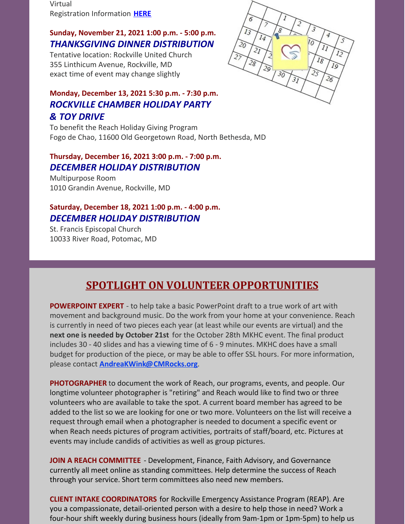Virtual Registration Information **[HERE](https://www.cmrocks.org/events)**

### **Sunday, November 21, 2021 1:00 p.m. - 5:00 p.m.** *THANKSGIVING DINNER DISTRIBUTION*

Tentative location: Rockville United Church 355 Linthicum Avenue, Rockville, MD exact time of event may change slightly

### **Monday, December 13, 2021 5:30 p.m. - 7:30 p.m.** *ROCKVILLE CHAMBER HOLIDAY PARTY & TOY DRIVE*

To benefit the Reach Holiday Giving Program Fogo de Chao, 11600 Old Georgetown Road, North Bethesda, MD

#### **Thursday, December 16, 2021 3:00 p.m. - 7:00 p.m.** *DECEMBER HOLIDAY DISTRIBUTION*

Multipurpose Room 1010 Grandin Avenue, Rockville, MD

## **Saturday, December 18, 2021 1:00 p.m. - 4:00 p.m.** *DECEMBER HOLIDAY DISTRIBUTION*

St. Francis Episcopal Church 10033 River Road, Potomac, MD



# **SPOTLIGHT ON VOLUNTEER OPPORTUNITIES**

**POWERPOINT EXPERT** - to help take a basic PowerPoint draft to a true work of art with movement and background music. Do the work from your home at your convenience. Reach is currently in need of two pieces each year (at least while our events are virtual) and the **next one is needed by October 21st** for the October 28th MKHC event. The final product includes 30 - 40 slides and has a viewing time of 6 - 9 minutes. MKHC does have a small budget for production of the piece, or may be able to offer SSL hours. For more information, please contact **[AndreaKWink@CMRocks.org](mailto:andreakwink@cmrocks.org)**.

**PHOTOGRAPHER** to document the work of Reach, our programs, events, and people. Our longtime volunteer photographer is "retiring" and Reach would like to find two or three volunteers who are available to take the spot. A current board member has agreed to be added to the list so we are looking for one or two more. Volunteers on the list will receive a request through email when a photographer is needed to document a specific event or when Reach needs pictures of program activities, portraits of staff/board, etc. Pictures at events may include candids of activities as well as group pictures.

**JOIN A REACH COMMITTEE** - Development, Finance, Faith Advisory, and Governance currently all meet online as standing committees. Help determine the success of Reach through your service. Short term committees also need new members.

**CLIENT INTAKE COORDINATORS** for Rockville Emergency Assistance Program (REAP). Are you a compassionate, detail-oriented person with a desire to help those in need? Work a four-hour shift weekly during business hours (ideally from 9am-1pm or 1pm-5pm) to help us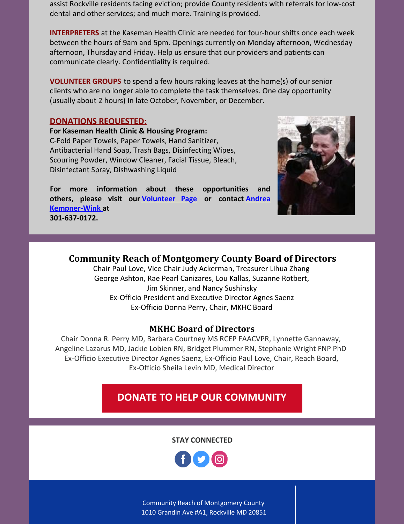assist Rockville residents facing eviction; provide County residents with referrals for low-cost dental and other services; and much more. Training is provided.

**INTERPRETERS** at the Kaseman Health Clinic are needed for four-hour shifts once each week between the hours of 9am and 5pm. Openings currently on Monday afternoon, Wednesday afternoon, Thursday and Friday. Help us ensure that our providers and patients can communicate clearly. Confidentiality is required.

**VOLUNTEER GROUPS** to spend a few hours raking leaves at the home(s) of our senior clients who are no longer able to complete the task themselves. One day opportunity (usually about 2 hours) In late October, November, or December.

#### **DONATIONS REQUESTED:**

**For Kaseman Health Clinic & Housing Program:** C-Fold Paper Towels, Paper Towels, Hand Sanitizer, Antibacterial Hand Soap, Trash Bags, Disinfecting Wipes, Scouring Powder, Window Cleaner, Facial Tissue, Bleach, Disinfectant Spray, Dishwashing Liquid

For more information about these opportunities and **others, please visit our [Volunteer](https://www.cmrocks.org/copy-of-volunteer) Page or contact Andrea [Kempner-Wink](mailto:andreakwink@cmrocks.org) at 301-637-0172.**



### **Community Reach of Montgomery County Board of Directors**

Chair Paul Love, Vice Chair Judy Ackerman, Treasurer Lihua Zhang George Ashton, Rae Pearl Canizares, Lou Kallas, Suzanne Rotbert, Jim Skinner, and Nancy Sushinsky Ex-Officio President and Executive Director Agnes Saenz Ex-Officio Donna Perry, Chair, MKHC Board

#### **MKHC Board of Directors**

Chair Donna R. Perry MD, Barbara Courtney MS RCEP FAACVPR, Lynnette Gannaway, Angeline Lazarus MD, Jackie Lobien RN, Bridget Plummer RN, Stephanie Wright FNP PhD Ex-Officio Executive Director Agnes Saenz, Ex-Officio Paul Love, Chair, Reach Board, Ex-Officio Sheila Levin MD, Medical Director

# **DONATE TO HELP OUR [COMMUNITY](https://www.paypal.com/donate?hosted_button_id=GKSTDCT7DMVJ4&source=url)**

**STAY CONNECTED**



Community Reach of Montgomery County 1010 Grandin Ave #A1, Rockville MD 20851